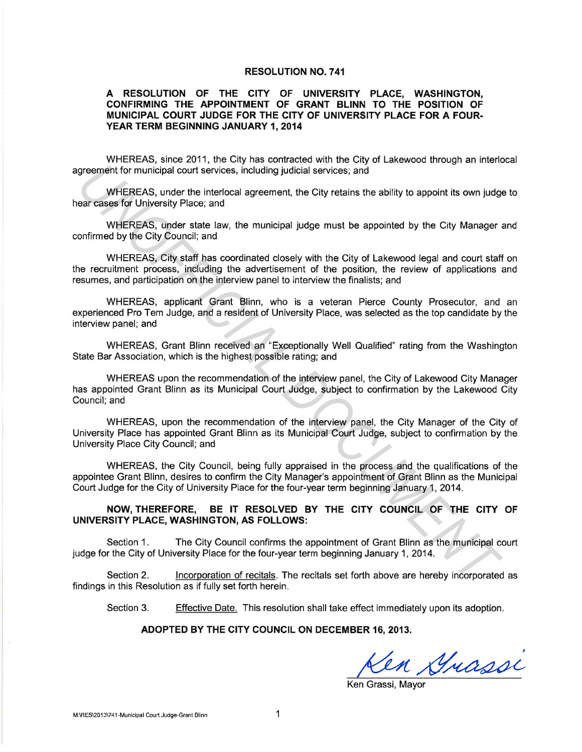## **RESOLUTION NO. 741**

## **A RESOLUTION OF THE CITY OF UNIVERSITY PLACE, WASHINGTON, CONFIRMING THE APPOINTMENT OF GRANT BLINN TO THE POSITION OF MUNICIPAL COURT JUDGE FOR THE CITY OF UNIVERSITY PLACE FOR A FOUR-YEAR TERM BEGINNING JANUARY 1, 2014**

WHEREAS, since 2011, the City has contracted with the City of Lakewood through an interlocal agreement for municipal court services, including judicial services; and

WHEREAS, under the interlocal agreement, the City retains the ability to appoint its own judge to hear cases for University Place; and

WHEREAS, under state law, the municipal judge must be appointed by the City Manager and confirmed by the City Council; and

WHEREAS, City staff has coordinated closely with the City of Lakewood legal and court staff on the recruitment process, including the advertisement of the position, the review of applications and resumes, and participation on the interview panel to interview the finalists; and

WHEREAS, applicant Grant Blinn, who is a veteran Pierce County Prosecutor, and an experienced Pro Tern Judge, and a resident of University Place, was selected as the top candidate by the interview panel; and greement for municipal court services, including judicial services; and<br>
which RESAS, under the interlocal agreement, the City retains the ability to appoint its own judge<br>
ear cases for University Place; and<br>
WHEREAS; ond

WHEREAS, Grant Blinn received an "Exceptionally Well Qualified" rating from the Washington State Bar Association, which is the highest possible rating; and

WHEREAS upon the recommendation of the interview panel, the City of Lakewood City Manager has appointed Grant Blinn as its Municipal Court Judge, subject to confirmation by the Lakewood City Council; and

WHEREAS, upon the recommendation of the interview panel, the City Manager of the City of University Place has appointed Grant Blinn as its Municipal Court Judge, subject to confirmation by the University Place City Council; and

WHEREAS, the City Council, being fully appraised in the process and the qualifications of the appointee Grant Blinn, desires to confirm the City Manager's appointment of Grant Blinn as the Municipal Court Judge for the City of University Place for the four-year term beginning January 1, 2014.

**NOW, THEREFORE, BE IT RESOLVED BY THE CITY COUNCIL OF THE CITY OF UNIVERSITY PLACE, WASHINGTON, AS FOLLOWS:** 

Section 1. The City Council confirms the appointment of Grant Blinn as the municipal court judge for the City of University Place for the four-year term beginning January 1, 2014.

Section 2. Incorporation of recitals. The recitals set forth above are hereby incorporated as findings in this Resolution as if fully set forth herein.

Section 3. Effective Date. This resolution shall take effect immediately upon its adoption.

## **ADOPTED BY THE CITY COUNCIL ON DECEMBER 16, 2013.**

Len Grassi

Ken Grassi, Mavor